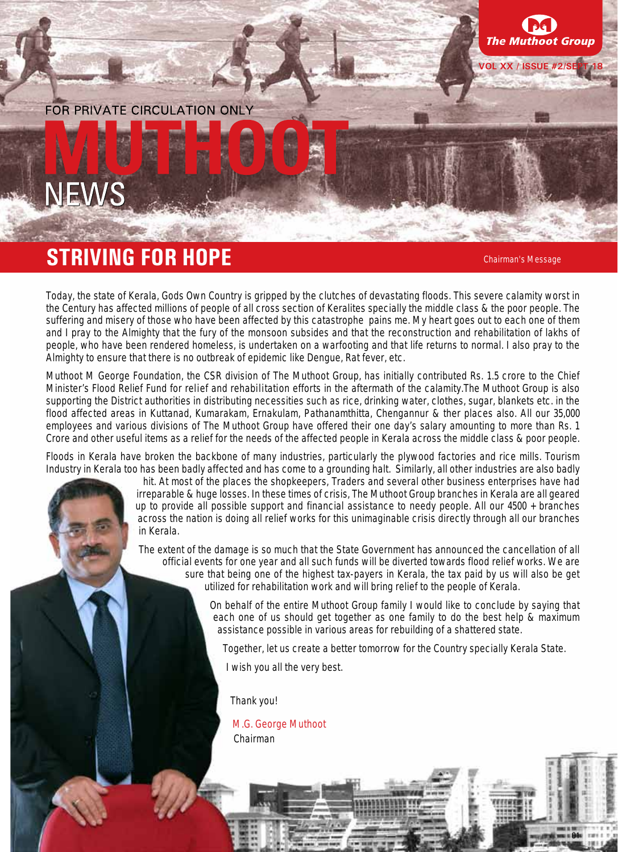#### FOR PRIVATE CIRCUI ATION ONLY



# **STRIVING FOR HOPE Chairman's Message**

**VOL XX / ISSUE #2/SE** 

t Group

**The Mu** 

01

Today, the state of Kerala, Gods Own Country is gripped by the clutches of devastating floods. This severe calamity worst in the Century has affected millions of people of all cross section of Keralites specially the middle class & the poor people. The suffering and misery of those who have been affected by this catastrophe pains me. My heart goes out to each one of them and I pray to the Almighty that the fury of the monsoon subsides and that the reconstruction and rehabilitation of lakhs of people, who have been rendered homeless, is undertaken on a warfooting and that life returns to normal. I also pray to the Almighty to ensure that there is no outbreak of epidemic like Dengue, Rat fever, etc.

Muthoot M George Foundation, the CSR division of The Muthoot Group, has initially contributed Rs. 1.5 crore to the Chief Minister's Flood Relief Fund for **relief and rehabilitation** efforts in the aftermath of the calamity.The Muthoot Group is also supporting the District authorities in distributing necessities such as rice, drinking water, clothes, sugar, blankets etc. in the flood affected areas in Kuttanad, Kumarakam, Ernakulam, Pathanamthitta, Chengannur & ther places also. All our 35,000 employees and various divisions of The Muthoot Group have offered their one day's salary amounting to more than Rs. 1 Crore and other useful items as a relief for the needs of the affected people in Kerala across the middle class & poor people.

Floods in Kerala have broken the backbone of many industries, particularly the plywood factories and rice mills. Tourism Industry in Kerala too has been badly affected and has come to a grounding halt. Similarly, all other industries are also badly

> hit. At most of the places the shopkeepers, Traders and several other business enterprises have had irreparable & huge losses. In these times of crisis, The Muthoot Group branches in Kerala are all geared up to provide all possible support and financial assistance to needy people. All our 4500 + branches across the nation is doing all relief works for this unimaginable crisis directly through all our branches in Kerala.

The extent of the damage is so much that the State Government has announced the cancellation of all official events for one year and all such funds will be diverted towards flood relief works. We are sure that being one of the highest tax-payers in Kerala, the tax paid by us will also be get utilized for rehabilitation work and will bring relief to the people of Kerala.

> On behalf of the entire Muthoot Group family I would like to conclude by saying that each one of us should get together as one family to do the best help & maximum assistance possible in various areas for rebuilding of a shattered state.

Together, let us create a better tomorrow for the Country specially Kerala State.

I wish you all the very best.

Thank you!

M.G. George Muthoot Chairman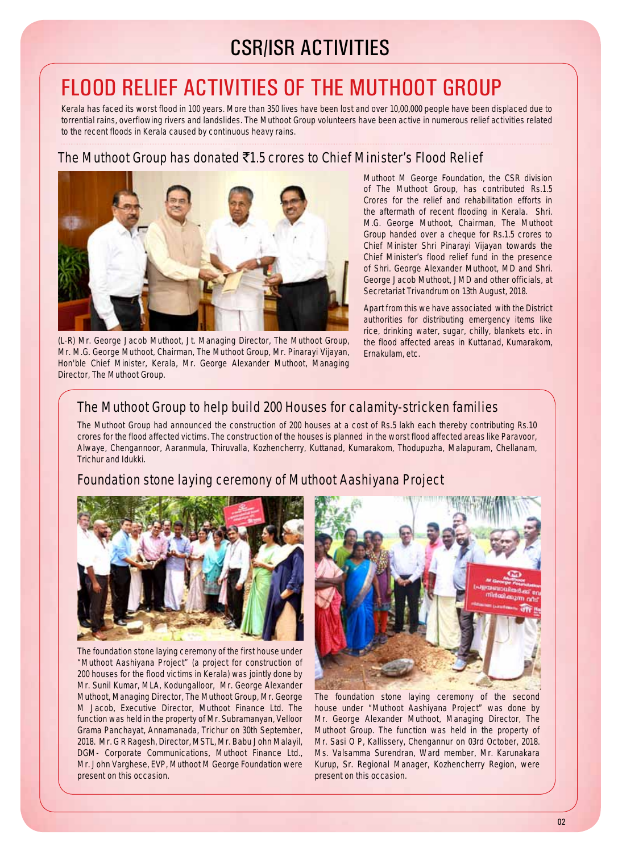# CSR/ISR ACTIVITIES

# Flood Relief Activities of The Muthoot Group

Kerala has faced its worst flood in 100 years. More than 350 lives have been lost and over 10,00,000 people have been displaced due to torrential rains, overflowing rivers and landslides. The Muthoot Group volunteers have been active in numerous relief activities related to the recent floods in Kerala caused by continuous heavy rains.

## **The Muthoot Group has donated** `**1.5 crores to Chief Minister's Flood Relief**



(L-R) Mr. George Jacob Muthoot, Jt. Managing Director, The Muthoot Group, Mr. M.G. George Muthoot, Chairman, The Muthoot Group, Mr. Pinarayi Vijayan, Hon'ble Chief Minister, Kerala, Mr. George Alexander Muthoot, Managing Director, The Muthoot Group.

Muthoot M George Foundation, the CSR division of The Muthoot Group, has contributed Rs.1.5 Crores for the relief and rehabilitation efforts in the aftermath of recent flooding in Kerala. Shri. M.G. George Muthoot, Chairman, The Muthoot Group handed over a cheque for Rs.1.5 crores to Chief Minister Shri Pinarayi Vijayan towards the Chief Minister's flood relief fund in the presence of Shri. George Alexander Muthoot, MD and Shri. George Jacob Muthoot, JMD and other officials, at Secretariat Trivandrum on 13th August, 2018.

Apart from this we have associated with the District authorities for distributing emergency items like rice, drinking water, sugar, chilly, blankets etc. in the flood affected areas in Kuttanad, Kumarakom, Ernakulam, etc.

## **The Muthoot Group to help build 200 Houses for calamity-stricken families**

The Muthoot Group had announced the construction of 200 houses at a cost of Rs.5 lakh each thereby contributing Rs.10 crores for the flood affected victims. The construction of the houses is planned in the worst flood affected areas like Paravoor, Alwaye, Chengannoor, Aaranmula, Thiruvalla, Kozhencherry, Kuttanad, Kumarakom, Thodupuzha, Malapuram, Chellanam, Trichur and Idukki.

## **Foundation stone laying ceremony of Muthoot Aashiyana Project**



The foundation stone laying ceremony of the first house under "Muthoot Aashiyana Project" (a project for construction of 200 houses for the flood victims in Kerala) was jointly done by Mr. Sunil Kumar, MLA, Kodungalloor, Mr. George Alexander Muthoot, Managing Director, The Muthoot Group, Mr. George M Jacob, Executive Director, Muthoot Finance Ltd. The function was held in the property of Mr. Subramanyan, Velloor Grama Panchayat, Annamanada, Trichur on 30th September, 2018. Mr. G R Ragesh, Director, MSTL, Mr. Babu John Malayil, DGM- Corporate Communications, Muthoot Finance Ltd., Mr. John Varghese, EVP, Muthoot M George Foundation were present on this occasion.



The foundation stone laying ceremony of the second house under "Muthoot Aashiyana Project" was done by Mr. George Alexander Muthoot, Managing Director, The Muthoot Group. The function was held in the property of Mr. Sasi O P, Kallissery, Chengannur on 03rd October, 2018. Ms. Valsamma Surendran, Ward member, Mr. Karunakara Kurup, Sr. Regional Manager, Kozhencherry Region, were present on this occasion.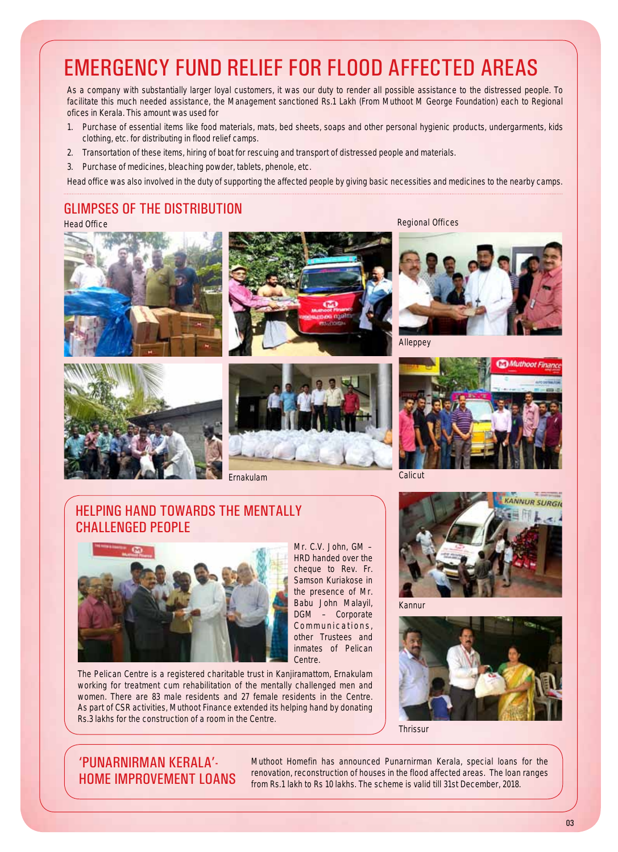# Emergency fund relief for flood affected areas

As a company with substantially larger loyal customers, it was our duty to render all possible assistance to the distressed people. To facilitate this much needed assistance, the Management sanctioned Rs.1 Lakh (From Muthoot M George Foundation) each to Regional ofices in Kerala. This amount was used for

- 1. Purchase of essential items like food materials, mats, bed sheets, soaps and other personal hygienic products, undergarments, kids clothing, etc. for distributing in flood relief camps.
- 2. Transortation of these items, hiring of boat for rescuing and transport of distressed people and materials.
- 3. Purchase of medicines, bleaching powder, tablets, phenole, etc.

Head office was also involved in the duty of supporting the affected people by giving basic necessities and medicines to the nearby camps.

#### Glimpses of the distribution

**Head Office Regional Offices**









Mr. C.V. John, GM – HRD handed over the cheque to Rev. Fr. Samson Kuriakose in the presence of Mr. Babu John Malayil, DGM – Corporate Communications, other Trustees and

Ernakulam Calicut



Alleppey



## Helping hand towards the mentally challenged people



inmates of Pelican Centre. The Pelican Centre is a registered charitable trust in Kanjiramattom, Ernakulam working for treatment cum rehabilitation of the mentally challenged men and women. There are 83 male residents and 27 female residents in the Centre. As part of CSR activities, Muthoot Finance extended its helping hand by donating Rs.3 lakhs for the construction of a room in the Centre.



Kannur



**Thrissur** 

## 'Punarnirman Kerala'- Home Improvement Loans

Muthoot Homefin has announced Punarnirman Kerala, special loans for the renovation, reconstruction of houses in the flood affected areas. The loan ranges from Rs.1 lakh to Rs 10 lakhs. The scheme is valid till 31st December, 2018.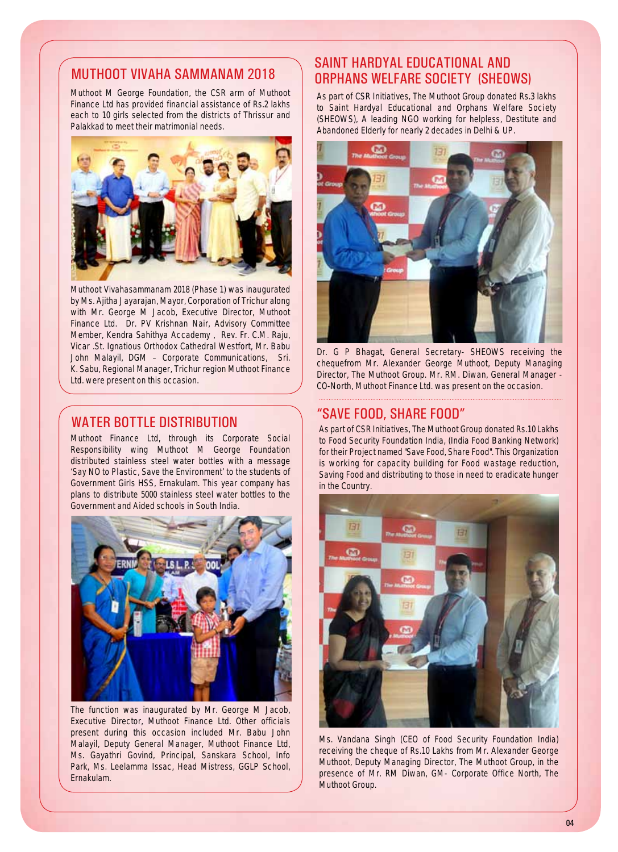#### Muthoot Vivaha sammanam 2018

Muthoot M George Foundation, the CSR arm of Muthoot Finance Ltd has provided financial assistance of Rs.2 lakhs each to 10 girls selected from the districts of Thrissur and Palakkad to meet their matrimonial needs.



Muthoot Vivahasammanam 2018 (Phase 1) was inaugurated by Ms. Ajitha Jayarajan, Mayor, Corporation of Trichur along with Mr. George M Jacob, Executive Director, Muthoot Finance Ltd. Dr. PV Krishnan Nair, Advisory Committee Member, Kendra Sahithya Accademy , Rev. Fr. C.M. Raju, Vicar .St. Ignatious Orthodox Cathedral Westfort, Mr. Babu John Malayil, DGM – Corporate Communications, Sri. K. Sabu, Regional Manager, Trichur region Muthoot Finance Ltd. were present on this occasion.

#### water bottle distribution

Muthoot Finance Ltd, through its Corporate Social Responsibility wing Muthoot M George Foundation distributed stainless steel water bottles with a message **'Say NO to Plastic, Save the Environment'** to the students of Government Girls HSS, Ernakulam. This year company has plans to distribute 5000 stainless steel water bottles to the Government and Aided schools in South India.



The function was inaugurated by Mr. George M Jacob, Executive Director, Muthoot Finance Ltd. Other officials present during this occasion included Mr. Babu John Malayil, Deputy General Manager, Muthoot Finance Ltd, Ms. Gayathri Govind, Principal, Sanskara School, Info Park, Ms. Leelamma Issac, Head Mistress, GGLP School, Ernakulam.

## Saint Hardyal Educational and Orphans Welfare Society (SHEOWS)

As part of CSR Initiatives, The Muthoot Group donated Rs.3 lakhs to **Saint Hardyal Educational and Orphans Welfare Society (SHEOWS),** A leading NGO working for helpless, Destitute and Abandoned Elderly for nearly 2 decades in Delhi & UP.



Dr. G P Bhagat, General Secretary- SHEOWS receiving the chequefrom Mr. Alexander George Muthoot, Deputy Managing Director, The Muthoot Group. Mr. RM. Diwan, General Manager - CO-North, Muthoot Finance Ltd. was present on the occasion.

#### "Save Food, Share Food"

As part of CSR Initiatives, The Muthoot Group donated Rs.10 Lakhs to Food Security Foundation India, (India Food Banking Network) for their Project named "Save Food, Share Food". This Organization is working for capacity building for Food wastage reduction, Saving Food and distributing to those in need to eradicate hunger in the Country.



Ms. Vandana Singh (CEO of Food Security Foundation India) receiving the cheque of Rs.10 Lakhs from Mr. Alexander George Muthoot, Deputy Managing Director, The Muthoot Group, in the presence of Mr. RM Diwan, GM- Corporate Office North, The Muthoot Group.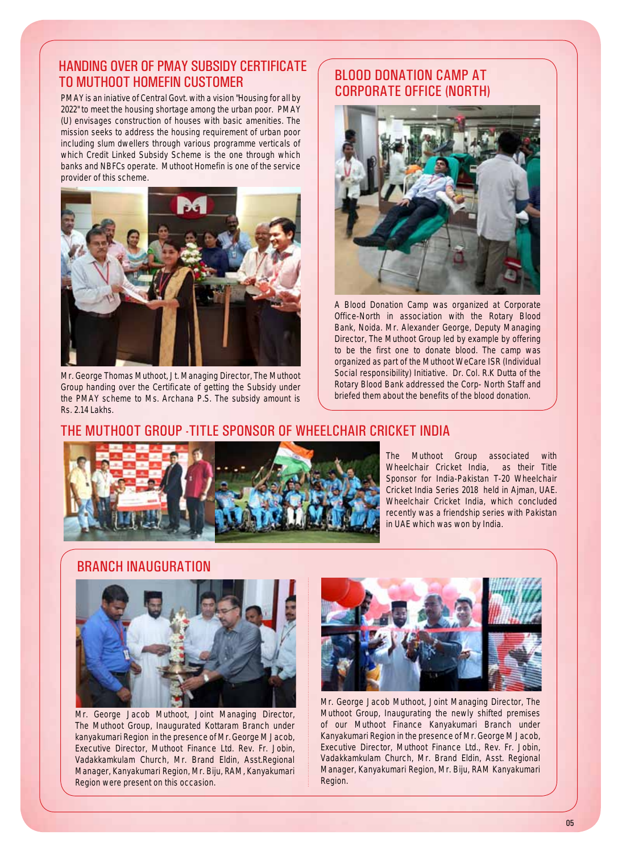## HANDING OVER OF PMAY SUBSIDY CERTIFICATE TO MUTHOOT HOMEFIN CUSTOMER Blood Donation Camp at

PMAY is an iniative of Central Govt. with a vision "Housing for all by 2022" to meet the housing shortage among the urban poor. PMAY (U) envisages construction of houses with basic amenities. The mission seeks to address the housing requirement of urban poor including slum dwellers through various programme verticals of which Credit Linked Subsidy Scheme is the one through which banks and NBFCs operate. Muthoot Homefin is one of the service provider of this scheme.



Mr. George Thomas Muthoot, Jt. Managing Director, The Muthoot Group handing over the Certificate of getting the Subsidy under the PMAY scheme to Ms. Archana P.S. The subsidy amount is Rs. 2.14 Lakhs.

# Corporate Office (North)



A Blood Donation Camp was organized at Corporate Office-North in association with the Rotary Blood Bank, Noida. Mr. Alexander George, Deputy Managing Director, The Muthoot Group led by example by offering to be the first one to donate blood. The camp was organized as part of the Muthoot WeCare ISR (Individual Social responsibility) Initiative. Dr. Col. R.K Dutta of the Rotary Blood Bank addressed the Corp- North Staff and briefed them about the benefits of the blood donation.

#### The Muthoot Group -Title Sponsor of Wheelchair Cricket India



The Muthoot Group associated with Wheelchair Cricket India, as their Title Sponsor for India-Pakistan T-20 Wheelchair Cricket India Series 2018 held in Ajman, UAE. Wheelchair Cricket India, which concluded recently was a friendship series with Pakistan in UAE which was won by India.

#### Branch Inauguration



Mr. George Jacob Muthoot, Joint Managing Director, The Muthoot Group, Inaugurated Kottaram Branch under kanyakumari Region in the presence of Mr. George M Jacob, Executive Director, Muthoot Finance Ltd. Rev. Fr. Jobin, Vadakkamkulam Church, Mr. Brand Eldin, Asst.Regional Manager, Kanyakumari Region, Mr. Biju, RAM, Kanyakumari Region were present on this occasion.



Mr. George Jacob Muthoot, Joint Managing Director, The Muthoot Group, Inaugurating the newly shifted premises of our Muthoot Finance Kanyakumari Branch under Kanyakumari Region in the presence of Mr. George M Jacob, Executive Director, Muthoot Finance Ltd., Rev. Fr. Jobin, Vadakkamkulam Church, Mr. Brand Eldin, Asst. Regional Manager, Kanyakumari Region, Mr. Biju, RAM Kanyakumari Region.